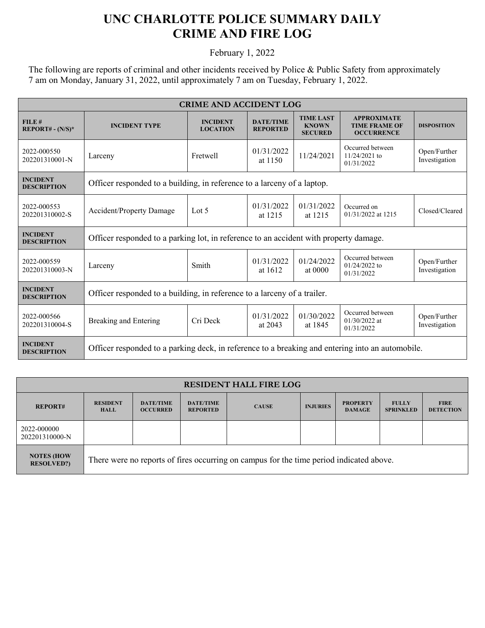## **UNC CHARLOTTE POLICE SUMMARY DAILY CRIME AND FIRE LOG**

February 1, 2022

The following are reports of criminal and other incidents received by Police & Public Safety from approximately 7 am on Monday, January 31, 2022, until approximately 7 am on Tuesday, February 1, 2022.

| <b>CRIME AND ACCIDENT LOG</b>         |                                                                                                  |                                    |                                     |                                                    |                                                                 |                               |  |
|---------------------------------------|--------------------------------------------------------------------------------------------------|------------------------------------|-------------------------------------|----------------------------------------------------|-----------------------------------------------------------------|-------------------------------|--|
| FILE#<br>$REPORT# - (N/S)*$           | <b>INCIDENT TYPE</b>                                                                             | <b>INCIDENT</b><br><b>LOCATION</b> | <b>DATE/TIME</b><br><b>REPORTED</b> | <b>TIME LAST</b><br><b>KNOWN</b><br><b>SECURED</b> | <b>APPROXIMATE</b><br><b>TIME FRAME OF</b><br><b>OCCURRENCE</b> | <b>DISPOSITION</b>            |  |
| 2022-000550<br>202201310001-N         | Larceny                                                                                          | Fretwell                           | 01/31/2022<br>at 1150               | 11/24/2021                                         | Occurred between<br>$11/24/2021$ to<br>01/31/2022               | Open/Further<br>Investigation |  |
| <b>INCIDENT</b><br><b>DESCRIPTION</b> | Officer responded to a building, in reference to a larceny of a laptop.                          |                                    |                                     |                                                    |                                                                 |                               |  |
| 2022-000553<br>202201310002-S         | <b>Accident/Property Damage</b>                                                                  | Lot $5$                            | 01/31/2022<br>at 1215               | 01/31/2022<br>at 1215                              | Occurred on<br>01/31/2022 at 1215                               | Closed/Cleared                |  |
| <b>INCIDENT</b><br><b>DESCRIPTION</b> | Officer responded to a parking lot, in reference to an accident with property damage.            |                                    |                                     |                                                    |                                                                 |                               |  |
| 2022-000559<br>202201310003-N         | Larceny                                                                                          | Smith                              | 01/31/2022<br>at 1612               | 01/24/2022<br>at $0000$                            | Occurred between<br>$01/24/2022$ to<br>01/31/2022               | Open/Further<br>Investigation |  |
| <b>INCIDENT</b><br><b>DESCRIPTION</b> | Officer responded to a building, in reference to a larceny of a trailer.                         |                                    |                                     |                                                    |                                                                 |                               |  |
| 2022-000566<br>202201310004-S         | Breaking and Entering                                                                            | Cri Deck                           | 01/31/2022<br>at $2043$             | 01/30/2022<br>at 1845                              | Occurred between<br>$01/30/2022$ at<br>01/31/2022               | Open/Further<br>Investigation |  |
| <b>INCIDENT</b><br><b>DESCRIPTION</b> | Officer responded to a parking deck, in reference to a breaking and entering into an automobile. |                                    |                                     |                                                    |                                                                 |                               |  |

| <b>RESIDENT HALL FIRE LOG</b>          |                                                                                         |                                     |                                     |              |                 |                                  |                                  |                                 |
|----------------------------------------|-----------------------------------------------------------------------------------------|-------------------------------------|-------------------------------------|--------------|-----------------|----------------------------------|----------------------------------|---------------------------------|
| <b>REPORT#</b>                         | <b>RESIDENT</b><br><b>HALL</b>                                                          | <b>DATE/TIME</b><br><b>OCCURRED</b> | <b>DATE/TIME</b><br><b>REPORTED</b> | <b>CAUSE</b> | <b>INJURIES</b> | <b>PROPERTY</b><br><b>DAMAGE</b> | <b>FULLY</b><br><b>SPRINKLED</b> | <b>FIRE</b><br><b>DETECTION</b> |
| 2022-000000<br>202201310000-N          |                                                                                         |                                     |                                     |              |                 |                                  |                                  |                                 |
| <b>NOTES (HOW</b><br><b>RESOLVED?)</b> | There were no reports of fires occurring on campus for the time period indicated above. |                                     |                                     |              |                 |                                  |                                  |                                 |